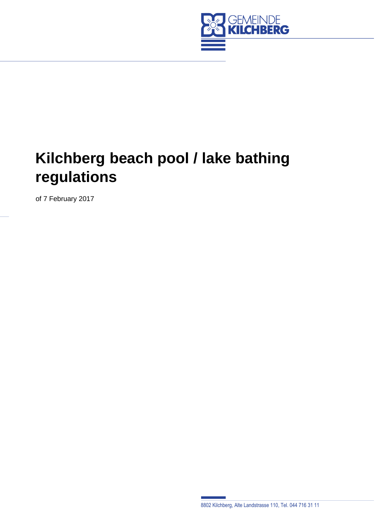

# **Kilchberg beach pool / lake bathing regulations**

of 7 February 2017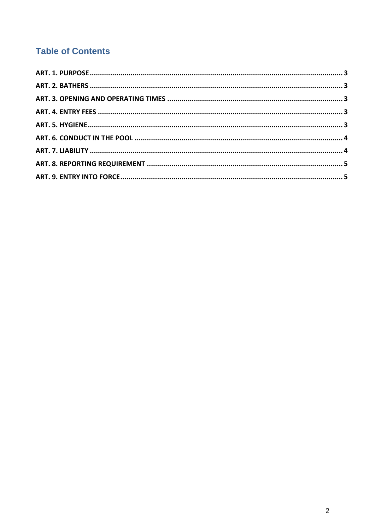# **Table of Contents**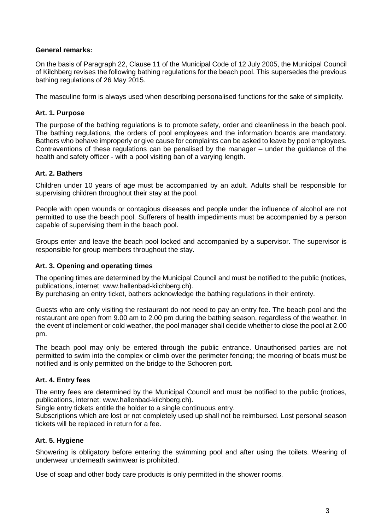#### **General remarks:**

On the basis of Paragraph 22, Clause 11 of the Municipal Code of 12 July 2005, the Municipal Council of Kilchberg revises the following bathing regulations for the beach pool. This supersedes the previous bathing regulations of 26 May 2015.

The masculine form is always used when describing personalised functions for the sake of simplicity.

#### <span id="page-2-0"></span>**Art. 1. Purpose**

The purpose of the bathing regulations is to promote safety, order and cleanliness in the beach pool. The bathing regulations, the orders of pool employees and the information boards are mandatory. Bathers who behave improperly or give cause for complaints can be asked to leave by pool employees. Contraventions of these regulations can be penalised by the manager – under the guidance of the health and safety officer - with a pool visiting ban of a varying length.

# <span id="page-2-1"></span>**Art. 2. Bathers**

Children under 10 years of age must be accompanied by an adult. Adults shall be responsible for supervising children throughout their stay at the pool.

People with open wounds or contagious diseases and people under the influence of alcohol are not permitted to use the beach pool. Sufferers of health impediments must be accompanied by a person capable of supervising them in the beach pool.

Groups enter and leave the beach pool locked and accompanied by a supervisor. The supervisor is responsible for group members throughout the stay.

#### <span id="page-2-2"></span>**Art. 3. Opening and operating times**

The opening times are determined by the Municipal Council and must be notified to the public (notices, publications, internet: www.hallenbad-kilchberg.ch).

By purchasing an entry ticket, bathers acknowledge the bathing regulations in their entirety.

Guests who are only visiting the restaurant do not need to pay an entry fee. The beach pool and the restaurant are open from 9.00 am to 2.00 pm during the bathing season, regardless of the weather. In the event of inclement or cold weather, the pool manager shall decide whether to close the pool at 2.00 pm.

The beach pool may only be entered through the public entrance. Unauthorised parties are not permitted to swim into the complex or climb over the perimeter fencing; the mooring of boats must be notified and is only permitted on the bridge to the Schooren port.

#### <span id="page-2-3"></span>**Art. 4. Entry fees**

The entry fees are determined by the Municipal Council and must be notified to the public (notices, publications, internet: www.hallenbad-kilchberg.ch).

Single entry tickets entitle the holder to a single continuous entry.

Subscriptions which are lost or not completely used up shall not be reimbursed. Lost personal season tickets will be replaced in return for a fee.

#### <span id="page-2-4"></span>**Art. 5. Hygiene**

Showering is obligatory before entering the swimming pool and after using the toilets. Wearing of underwear underneath swimwear is prohibited.

Use of soap and other body care products is only permitted in the shower rooms.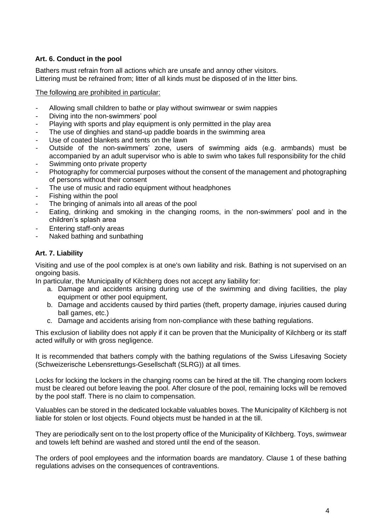# <span id="page-3-0"></span>**Art. 6. Conduct in the pool**

Bathers must refrain from all actions which are unsafe and annoy other visitors. Littering must be refrained from; litter of all kinds must be disposed of in the litter bins.

#### The following are prohibited in particular:

- Allowing small children to bathe or play without swimwear or swim nappies
- Diving into the non-swimmers' pool
- Playing with sports and play equipment is only permitted in the play area
- The use of dinghies and stand-up paddle boards in the swimming area
- Use of coated blankets and tents on the lawn
- Outside of the non-swimmers' zone, users of swimming aids (e.g. armbands) must be accompanied by an adult supervisor who is able to swim who takes full responsibility for the child Swimming onto private property
- Photography for commercial purposes without the consent of the management and photographing of persons without their consent
- The use of music and radio equipment without headphones
- Fishing within the pool
- The bringing of animals into all areas of the pool
- Eating, drinking and smoking in the changing rooms, in the non-swimmers' pool and in the children's splash area
- Entering staff-only areas
- Naked bathing and sunbathing

# <span id="page-3-1"></span>**Art. 7. Liability**

Visiting and use of the pool complex is at one's own liability and risk. Bathing is not supervised on an ongoing basis.

In particular, the Municipality of Kilchberg does not accept any liability for:

- a. Damage and accidents arising during use of the swimming and diving facilities, the play equipment or other pool equipment,
- b. Damage and accidents caused by third parties (theft, property damage, injuries caused during ball games, etc.)
- c. Damage and accidents arising from non-compliance with these bathing regulations.

This exclusion of liability does not apply if it can be proven that the Municipality of Kilchberg or its staff acted wilfully or with gross negligence.

It is recommended that bathers comply with the bathing regulations of the Swiss Lifesaving Society (Schweizerische Lebensrettungs-Gesellschaft (SLRG)) at all times.

Locks for locking the lockers in the changing rooms can be hired at the till. The changing room lockers must be cleared out before leaving the pool. After closure of the pool, remaining locks will be removed by the pool staff. There is no claim to compensation.

Valuables can be stored in the dedicated lockable valuables boxes. The Municipality of Kilchberg is not liable for stolen or lost objects. Found objects must be handed in at the till.

They are periodically sent on to the lost property office of the Municipality of Kilchberg. Toys, swimwear and towels left behind are washed and stored until the end of the season.

The orders of pool employees and the information boards are mandatory. Clause 1 of these bathing regulations advises on the consequences of contraventions.